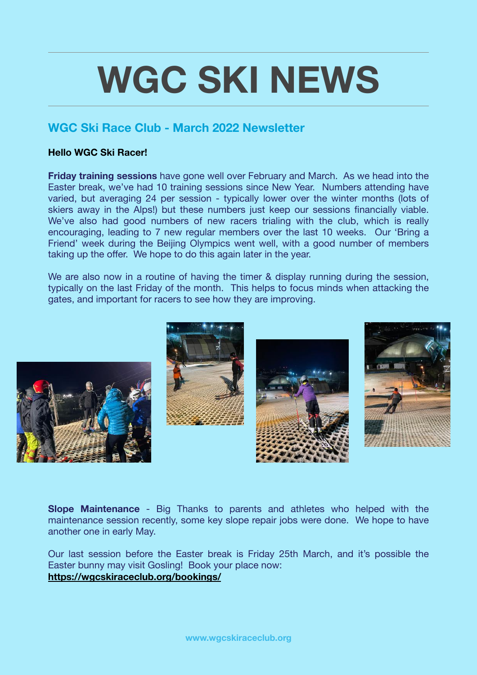## **WGC SKI NEWS**

## **WGC Ski Race Club - March 2022 Newsletter**

## **Hello WGC Ski Racer!**

**Friday training sessions** have gone well over February and March. As we head into the Easter break, we've had 10 training sessions since New Year. Numbers attending have varied, but averaging 24 per session - typically lower over the winter months (lots of skiers away in the Alps!) but these numbers just keep our sessions financially viable. We've also had good numbers of new racers trialing with the club, which is really encouraging, leading to 7 new regular members over the last 10 weeks. Our 'Bring a Friend' week during the Beijing Olympics went well, with a good number of members taking up the offer. We hope to do this again later in the year.

We are also now in a routine of having the timer & display running during the session. typically on the last Friday of the month. This helps to focus minds when attacking the gates, and important for racers to see how they are improving.



**Slope Maintenance** - Big Thanks to parents and athletes who helped with the maintenance session recently, some key slope repair jobs were done. We hope to have another one in early May.

Our last session before the Easter break is Friday 25th March, and it's possible the Easter bunny may visit Gosling! Book your place now: **<https://wgcskiraceclub.org/bookings/>**